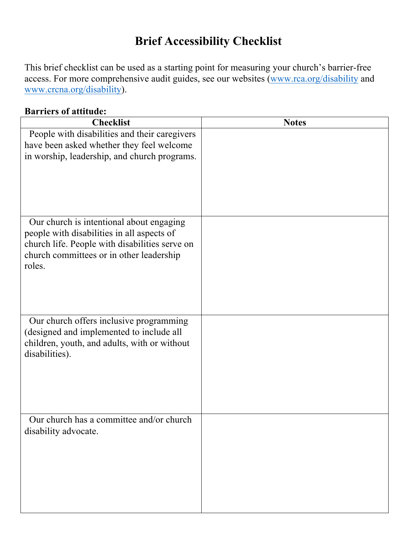## **Brief Accessibility Checklist**

This brief checklist can be used as a starting point for measuring your church's barrier-free access. For more comprehensive audit guides, see our websites (www.rca.org/disability and www.crcna.org/disability).

#### **Barriers of attitude:**

| <b>Checklist</b>                                                                         | <b>Notes</b> |
|------------------------------------------------------------------------------------------|--------------|
| People with disabilities and their caregivers                                            |              |
| have been asked whether they feel welcome                                                |              |
| in worship, leadership, and church programs.                                             |              |
|                                                                                          |              |
|                                                                                          |              |
|                                                                                          |              |
|                                                                                          |              |
| Our church is intentional about engaging                                                 |              |
| people with disabilities in all aspects of                                               |              |
| church life. People with disabilities serve on                                           |              |
| church committees or in other leadership                                                 |              |
| roles.                                                                                   |              |
|                                                                                          |              |
|                                                                                          |              |
|                                                                                          |              |
| Our church offers inclusive programming                                                  |              |
| (designed and implemented to include all<br>children, youth, and adults, with or without |              |
| disabilities).                                                                           |              |
|                                                                                          |              |
|                                                                                          |              |
|                                                                                          |              |
|                                                                                          |              |
| Our church has a committee and/or church                                                 |              |
| disability advocate.                                                                     |              |
|                                                                                          |              |
|                                                                                          |              |
|                                                                                          |              |
|                                                                                          |              |
|                                                                                          |              |
|                                                                                          |              |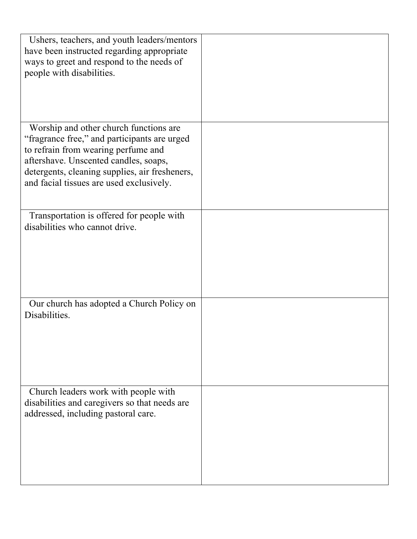| Ushers, teachers, and youth leaders/mentors<br>have been instructed regarding appropriate<br>ways to greet and respond to the needs of<br>people with disabilities.                                                                                                  |  |
|----------------------------------------------------------------------------------------------------------------------------------------------------------------------------------------------------------------------------------------------------------------------|--|
| Worship and other church functions are<br>"fragrance free," and participants are urged<br>to refrain from wearing perfume and<br>aftershave. Unscented candles, soaps,<br>detergents, cleaning supplies, air fresheners,<br>and facial tissues are used exclusively. |  |
| Transportation is offered for people with<br>disabilities who cannot drive.                                                                                                                                                                                          |  |
| Our church has adopted a Church Policy on<br>Disabilities.                                                                                                                                                                                                           |  |
| Church leaders work with people with<br>disabilities and caregivers so that needs are<br>addressed, including pastoral care.                                                                                                                                         |  |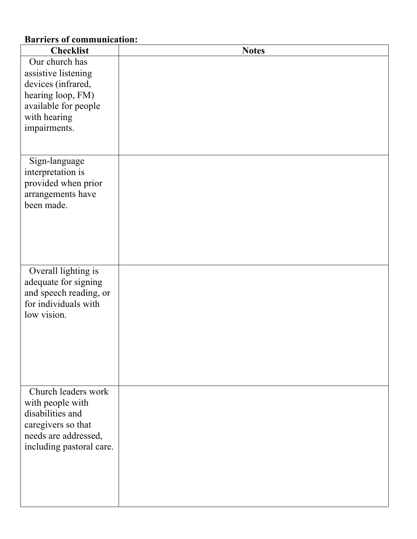## **Barriers of communication:**

| <b>Checklist</b>                                                                                                                      | <b>Notes</b> |
|---------------------------------------------------------------------------------------------------------------------------------------|--------------|
| Our church has<br>assistive listening<br>devices (infrared,<br>hearing loop, FM)<br>available for people                              |              |
| with hearing<br>impairments.                                                                                                          |              |
| Sign-language<br>interpretation is<br>provided when prior<br>arrangements have<br>been made.                                          |              |
| Overall lighting is<br>adequate for signing<br>and speech reading, or<br>for individuals with<br>low vision.                          |              |
| Church leaders work<br>with people with<br>disabilities and<br>caregivers so that<br>needs are addressed,<br>including pastoral care. |              |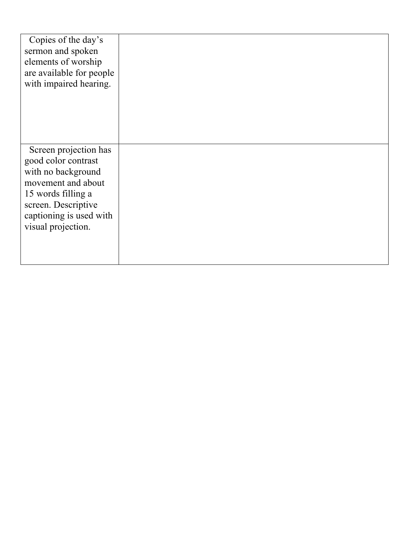| Copies of the day's<br>sermon and spoken<br>elements of worship<br>are available for people<br>with impaired hearing.                                                                  |  |
|----------------------------------------------------------------------------------------------------------------------------------------------------------------------------------------|--|
| Screen projection has<br>good color contrast<br>with no background<br>movement and about<br>15 words filling a<br>screen. Descriptive<br>captioning is used with<br>visual projection. |  |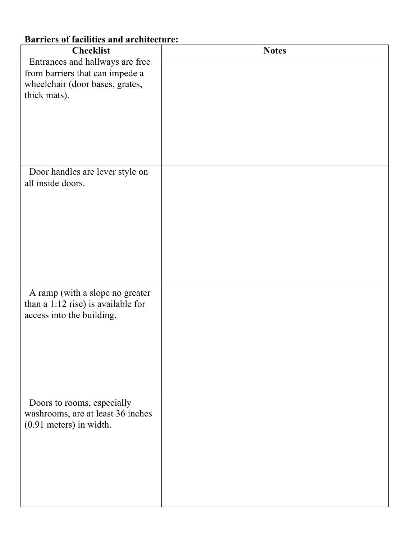# **Checklist Notes** Entrances and hallways are free from barriers that can impede a wheelchair (door bases, grates, thick mats). Door handles are lever style on all inside doors. A ramp (with a slope no greater than a 1:12 rise) is available for access into the building. Doors to rooms, especially washrooms, are at least 36 inches (0.91 meters) in width.

### **Barriers of facilities and architecture:**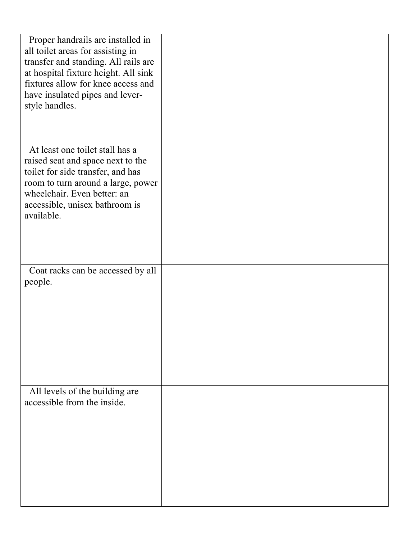| Proper handrails are installed in<br>all toilet areas for assisting in<br>transfer and standing. All rails are<br>at hospital fixture height. All sink<br>fixtures allow for knee access and<br>have insulated pipes and lever-<br>style handles. |  |
|---------------------------------------------------------------------------------------------------------------------------------------------------------------------------------------------------------------------------------------------------|--|
| At least one toilet stall has a<br>raised seat and space next to the                                                                                                                                                                              |  |
| toilet for side transfer, and has                                                                                                                                                                                                                 |  |
| room to turn around a large, power<br>wheelchair. Even better: an                                                                                                                                                                                 |  |
| accessible, unisex bathroom is                                                                                                                                                                                                                    |  |
| available.                                                                                                                                                                                                                                        |  |
|                                                                                                                                                                                                                                                   |  |
|                                                                                                                                                                                                                                                   |  |
| Coat racks can be accessed by all<br>people.                                                                                                                                                                                                      |  |
|                                                                                                                                                                                                                                                   |  |
|                                                                                                                                                                                                                                                   |  |
|                                                                                                                                                                                                                                                   |  |
|                                                                                                                                                                                                                                                   |  |
|                                                                                                                                                                                                                                                   |  |
| All levels of the building are                                                                                                                                                                                                                    |  |
| accessible from the inside.                                                                                                                                                                                                                       |  |
|                                                                                                                                                                                                                                                   |  |
|                                                                                                                                                                                                                                                   |  |
|                                                                                                                                                                                                                                                   |  |
|                                                                                                                                                                                                                                                   |  |
|                                                                                                                                                                                                                                                   |  |